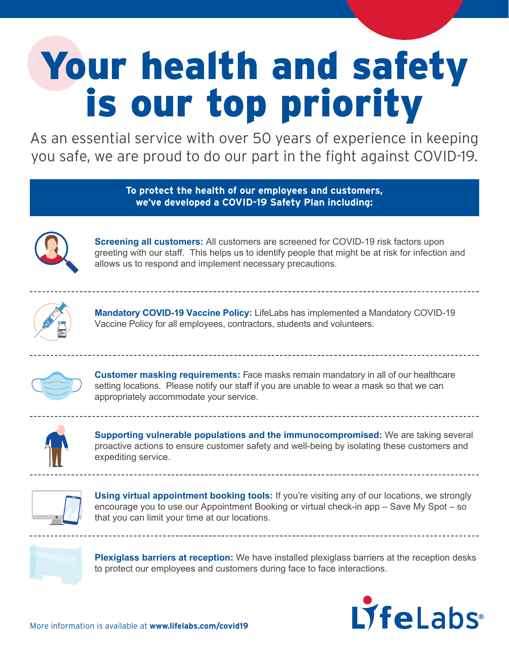## Your health and safety is our top priority

As an essential service with over 50 years of experience in keeping you safe, we are proud to do our part in the fight against COVID-19.

> **To protect the health of our employees and customers, we've developed a COVID-19 Safety Plan including:**



**Screening all customers:** All customers are screened for COVID-19 risk factors upon greeting with our staff. This helps us to identify people that might be at risk for infection and allows us to respond and implement necessary precautions.



**Mandatory COVID-19 Vaccine Policy:** LifeLabs has implemented a Mandatory COVID-19 Vaccine Policy for all employees, contractors, students and volunteers.



**Customer masking requirements:** Face masks remain mandatory in all of our healthcare setting locations. Please notify our staff if you are unable to wear a mask so that we can appropriately accommodate your service.



**Supporting vulnerable populations and the immunocompromised:** We are taking several proactive actions to ensure customer safety and well-being by isolating these customers and expediting service.



**Using virtual appointment booking tools:** If you're visiting any of our locations, we strongly encourage you to use our Appointment Booking or virtual check-in app – Save My Spot – so that you can limit your time at our locations.



**Plexiglass barriers at reception:** We have installed plexiglass barriers at the reception desks to protect our employees and customers during face to face interactions.